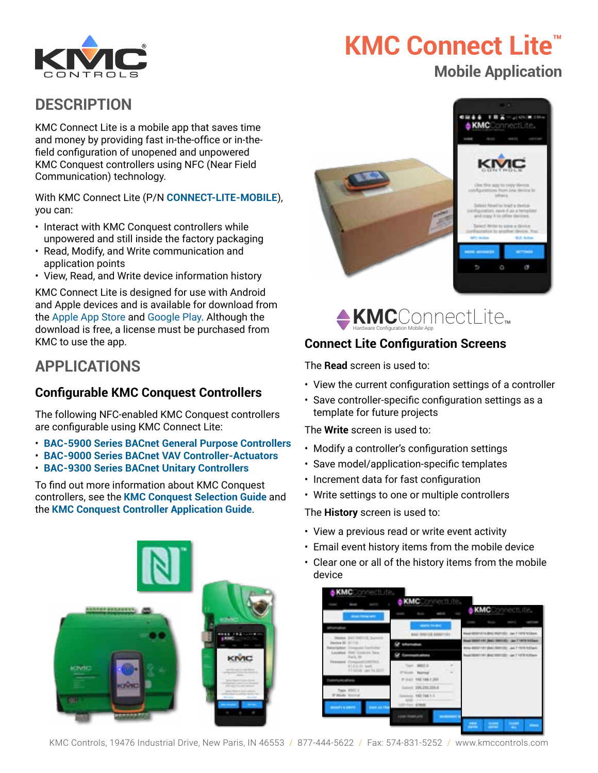

# **KMC Connect Lite™ Mobile Application**

## **DESCRIPTION**

KMC Connect Lite is a mobile app that saves time and money by providing fast in-the-office or in-thefield configuration of unopened and unpowered KMC Conquest controllers using NFC (Near Field Communication) technology.

With KMC Connect Lite (P/N **[CONNECT-LITE-MOBILE](https://www.kmccontrols.com/product/software-kmc-connect-lite-mobile/)**), you can:

- Interact with KMC Conquest controllers while unpowered and still inside the factory packaging
- Read, Modify, and Write communication and application points
- View, Read, and Write device information history

KMC Connect Lite is designed for use with Android and Apple devices and is available for download from the [Apple App Store](https://itunes.apple.com/us/app/kmc-connect-lite/id1054516165?mt=8) and [Google Play](https://play.google.com/store/apps/details?id=com.kmccontrols.kmcconnectlite). Although the download is free, a license must be purchased from KMC to use the app.

# **APPLICATIONS**

## **Configurable KMC Conquest Controllers**

The following NFC-enabled KMC Conquest controllers are configurable using KMC Connect Lite:

- **[BAC-5900 Series BACnet General Purpose Controllers](https://www.kmccontrols.com/product/kmc-conquest-general-purpose-controllers/)**
- **[BAC-9000 Series BACnet VAV Controller-Actuators](https://www.kmccontrols.com/product/kmc-conquest-vav-controllers/)**
- **[BAC-9300 Series BACnet Unitary Controllers](https://www.kmccontrols.com/product/kmc-conquest-unitary-controllers/)**

To find out more information about KMC Conquest controllers, see the **KMC [Conquest Selection Guide](https://www.kmccontrols.com/wp-content/uploads/kmc_documents/Conquest_Selection_Guide_AG150102N.pdf)** and the **[KMC Conquest Controller Application Guide](https://www.kmccontrols.com/wp-content/uploads/kmc_documents/AG_Conquest_Controllers_AG150217P.pdf)**.







## **Connect Lite Configuration Screens**

The **Read** screen is used to:

- View the current configuration settings of a controller
- Save controller-specific configuration settings as a template for future projects

The **Write** screen is used to:

- Modify a controller's configuration settings
- Save model/application-specific templates
- Increment data for fast configuration
- Write settings to one or multiple controllers

The **History** screen is used to:

- View a previous read or write event activity
- Email event history items from the mobile device
- Clear one or all of the history items from the mobile device



KMC Controls, 19476 Industrial Drive, New Paris, IN 46553 / 877-444-5622 / Fax: 574-831-5252 / www.kmccontrols.com